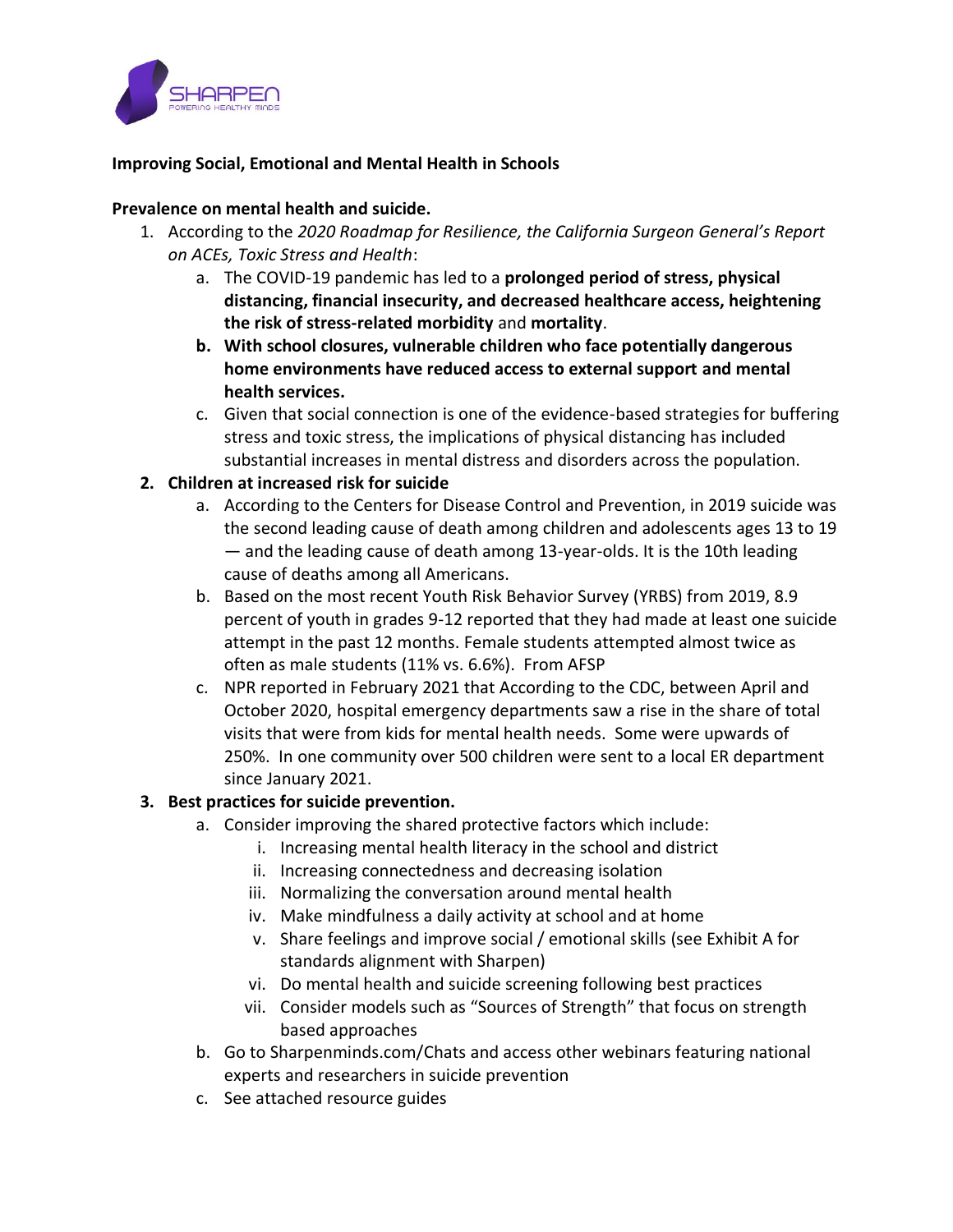

## **Improving Social, Emotional and Mental Health in Schools**

#### **Prevalence on mental health and suicide.**

- 1. According to the *2020 Roadmap for Resilience, the California Surgeon General's Report on ACEs, Toxic Stress and Health*:
	- a. The COVID-19 pandemic has led to a **prolonged period of stress, physical distancing, financial insecurity, and decreased healthcare access, heightening the risk of stress-related morbidity** and **mortality**.
	- **b. With school closures, vulnerable children who face potentially dangerous home environments have reduced access to external support and mental health services.**
	- c. Given that social connection is one of the evidence-based strategies for buffering stress and toxic stress, the implications of physical distancing has included substantial increases in mental distress and disorders across the population.

### **2. Children at increased risk for suicide**

- a. According to the Centers for Disease Control and Prevention, in 2019 suicide was the second leading cause of death among children and adolescents ages 13 to 19 — and the leading cause of death among 13-year-olds. It is the 10th leading cause of deaths among all Americans.
- b. Based on the most recent Youth Risk Behavior Survey (YRBS) from 2019, 8.9 percent of youth in grades 9-12 reported that they had made at least one suicide attempt in the past 12 months. Female students attempted almost twice as often as male students (11% vs. 6.6%). From AFSP
- c. NPR reported in February 2021 that According to the CDC, between April and October 2020, hospital emergency departments saw a rise in the share of total visits that were from kids for mental health needs. Some were upwards of 250%. In one community over 500 children were sent to a local ER department since January 2021.

#### **3. Best practices for suicide prevention.**

- a. Consider improving the shared protective factors which include:
	- i. Increasing mental health literacy in the school and district
	- ii. Increasing connectedness and decreasing isolation
	- iii. Normalizing the conversation around mental health
	- iv. Make mindfulness a daily activity at school and at home
	- v. Share feelings and improve social / emotional skills (see Exhibit A for standards alignment with Sharpen)
	- vi. Do mental health and suicide screening following best practices
	- vii. Consider models such as "Sources of Strength" that focus on strength based approaches
- b. Go to Sharpenminds.com/Chats and access other webinars featuring national experts and researchers in suicide prevention
- c. See attached resource guides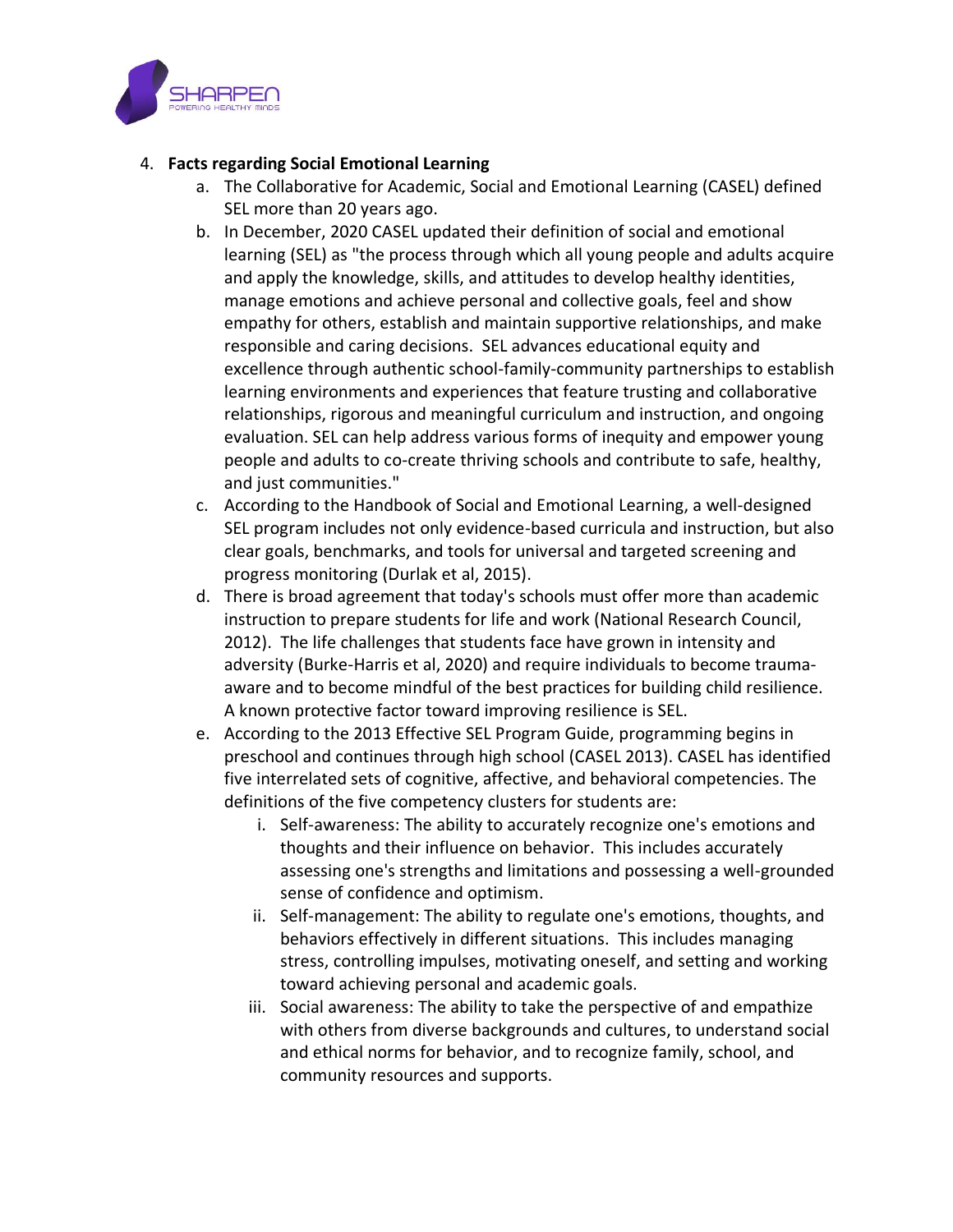

## 4. **Facts regarding Social Emotional Learning**

- a. The Collaborative for Academic, Social and Emotional Learning (CASEL) defined SEL more than 20 years ago.
- b. In December, 2020 CASEL updated their definition of social and emotional learning (SEL) as "the process through which all young people and adults acquire and apply the knowledge, skills, and attitudes to develop healthy identities, manage emotions and achieve personal and collective goals, feel and show empathy for others, establish and maintain supportive relationships, and make responsible and caring decisions. SEL advances educational equity and excellence through authentic school-family-community partnerships to establish learning environments and experiences that feature trusting and collaborative relationships, rigorous and meaningful curriculum and instruction, and ongoing evaluation. SEL can help address various forms of inequity and empower young people and adults to co-create thriving schools and contribute to safe, healthy, and just communities."
- c. According to the Handbook of Social and Emotional Learning, a well-designed SEL program includes not only evidence-based curricula and instruction, but also clear goals, benchmarks, and tools for universal and targeted screening and progress monitoring (Durlak et al, 2015).
- d. There is broad agreement that today's schools must offer more than academic instruction to prepare students for life and work (National Research Council, 2012). The life challenges that students face have grown in intensity and adversity (Burke-Harris et al, 2020) and require individuals to become traumaaware and to become mindful of the best practices for building child resilience. A known protective factor toward improving resilience is SEL.
- e. According to the 2013 Effective SEL Program Guide, programming begins in preschool and continues through high school (CASEL 2013). CASEL has identified five interrelated sets of cognitive, affective, and behavioral competencies. The definitions of the five competency clusters for students are:
	- i. Self-awareness: The ability to accurately recognize one's emotions and thoughts and their influence on behavior. This includes accurately assessing one's strengths and limitations and possessing a well-grounded sense of confidence and optimism.
	- ii. Self-management: The ability to regulate one's emotions, thoughts, and behaviors effectively in different situations. This includes managing stress, controlling impulses, motivating oneself, and setting and working toward achieving personal and academic goals.
	- iii. Social awareness: The ability to take the perspective of and empathize with others from diverse backgrounds and cultures, to understand social and ethical norms for behavior, and to recognize family, school, and community resources and supports.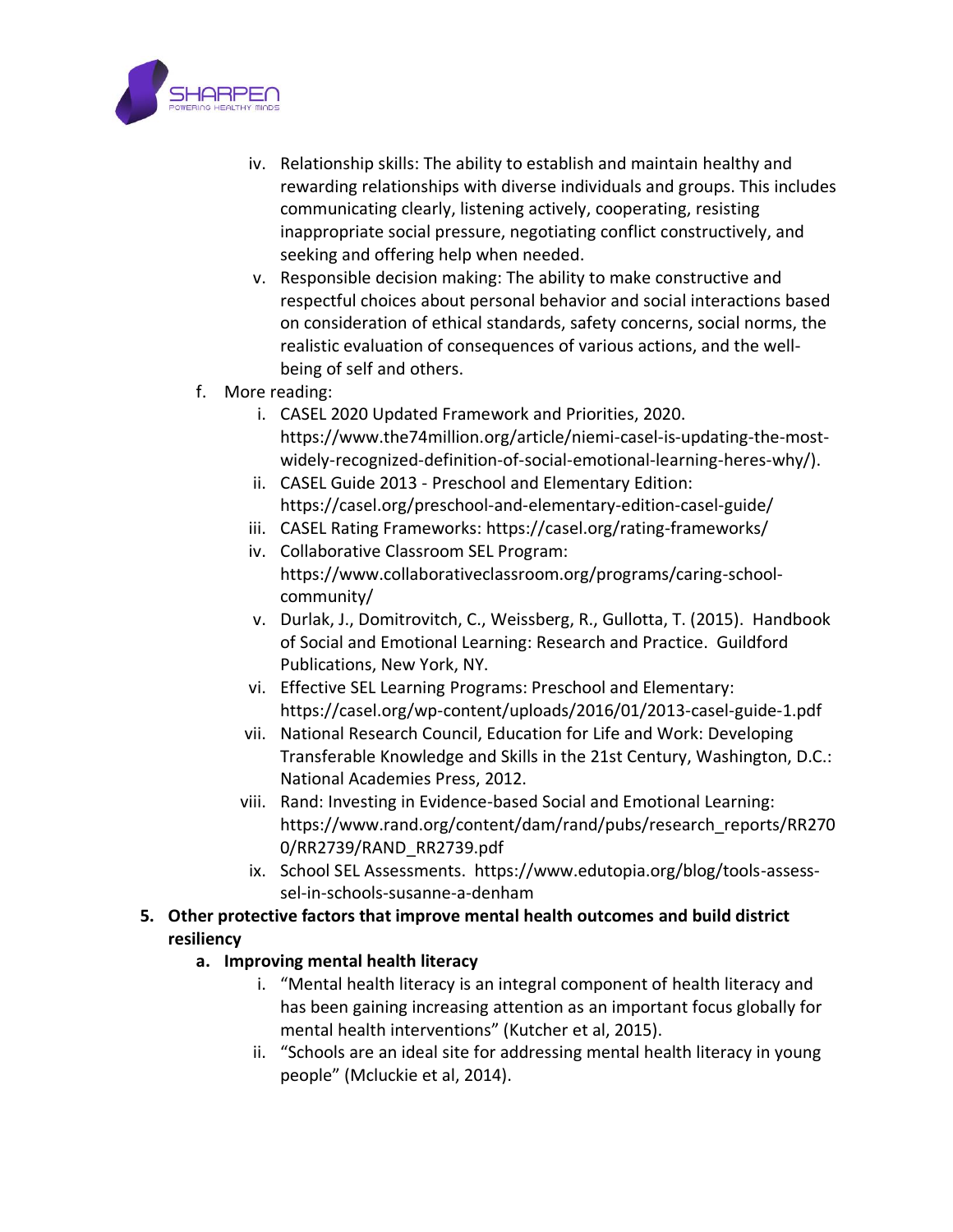

- iv. Relationship skills: The ability to establish and maintain healthy and rewarding relationships with diverse individuals and groups. This includes communicating clearly, listening actively, cooperating, resisting inappropriate social pressure, negotiating conflict constructively, and seeking and offering help when needed.
- v. Responsible decision making: The ability to make constructive and respectful choices about personal behavior and social interactions based on consideration of ethical standards, safety concerns, social norms, the realistic evaluation of consequences of various actions, and the wellbeing of self and others.
- f. More reading:
	- i. CASEL 2020 Updated Framework and Priorities, 2020. https://www.the74million.org/article/niemi-casel-is-updating-the-mostwidely-recognized-definition-of-social-emotional-learning-heres-why/).
	- ii. CASEL Guide 2013 Preschool and Elementary Edition: https://casel.org/preschool-and-elementary-edition-casel-guide/
	- iii. CASEL Rating Frameworks: https://casel.org/rating-frameworks/
	- iv. Collaborative Classroom SEL Program: https://www.collaborativeclassroom.org/programs/caring-schoolcommunity/
	- v. Durlak, J., Domitrovitch, C., Weissberg, R., Gullotta, T. (2015). Handbook of Social and Emotional Learning: Research and Practice. Guildford Publications, New York, NY.
	- vi. Effective SEL Learning Programs: Preschool and Elementary: https://casel.org/wp-content/uploads/2016/01/2013-casel-guide-1.pdf
	- vii. National Research Council, Education for Life and Work: Developing Transferable Knowledge and Skills in the 21st Century, Washington, D.C.: National Academies Press, 2012.
	- viii. Rand: Investing in Evidence-based Social and Emotional Learning: https://www.rand.org/content/dam/rand/pubs/research\_reports/RR270 0/RR2739/RAND\_RR2739.pdf
	- ix. School SEL Assessments. https://www.edutopia.org/blog/tools-assesssel-in-schools-susanne-a-denham
- **5. Other protective factors that improve mental health outcomes and build district resiliency**

# **a. Improving mental health literacy**

- i. "Mental health literacy is an integral component of health literacy and has been gaining increasing attention as an important focus globally for mental health interventions" (Kutcher et al, 2015).
- ii. "Schools are an ideal site for addressing mental health literacy in young people" (Mcluckie et al, 2014).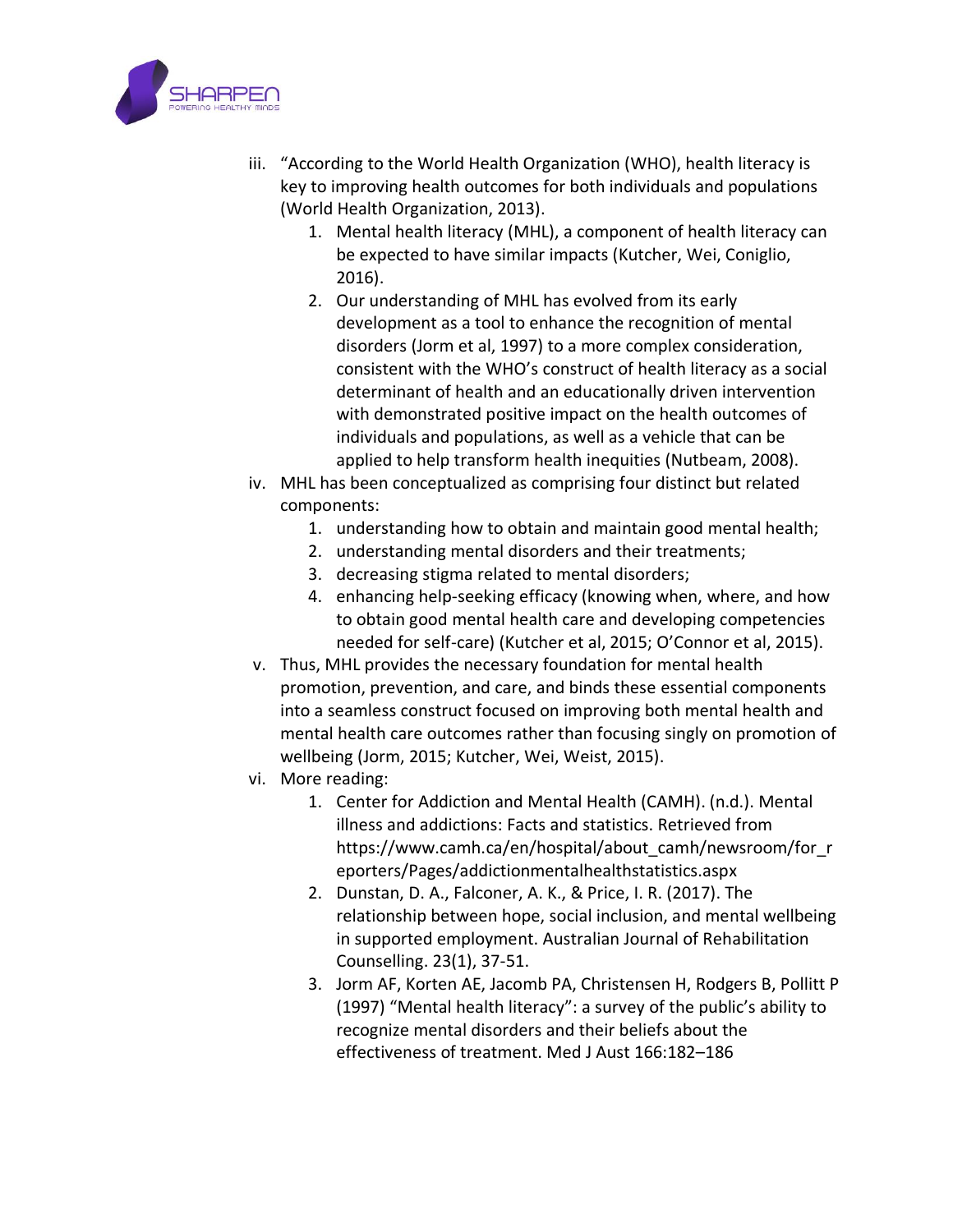

- iii. "According to the World Health Organization (WHO), health literacy is key to improving health outcomes for both individuals and populations (World Health Organization, 2013).
	- 1. Mental health literacy (MHL), a component of health literacy can be expected to have similar impacts (Kutcher, Wei, Coniglio, 2016).
	- 2. Our understanding of MHL has evolved from its early development as a tool to enhance the recognition of mental disorders (Jorm et al, 1997) to a more complex consideration, consistent with the WHO's construct of health literacy as a social determinant of health and an educationally driven intervention with demonstrated positive impact on the health outcomes of individuals and populations, as well as a vehicle that can be applied to help transform health inequities (Nutbeam, 2008).
- iv. MHL has been conceptualized as comprising four distinct but related components:
	- 1. understanding how to obtain and maintain good mental health;
	- 2. understanding mental disorders and their treatments;
	- 3. decreasing stigma related to mental disorders;
	- 4. enhancing help-seeking efficacy (knowing when, where, and how to obtain good mental health care and developing competencies needed for self-care) (Kutcher et al, 2015; O'Connor et al, 2015).
- v. Thus, MHL provides the necessary foundation for mental health promotion, prevention, and care, and binds these essential components into a seamless construct focused on improving both mental health and mental health care outcomes rather than focusing singly on promotion of wellbeing (Jorm, 2015; Kutcher, Wei, Weist, 2015).
- vi. More reading:
	- 1. Center for Addiction and Mental Health (CAMH). (n.d.). Mental illness and addictions: Facts and statistics. Retrieved from https://www.camh.ca/en/hospital/about\_camh/newsroom/for\_r eporters/Pages/addictionmentalhealthstatistics.aspx
	- 2. Dunstan, D. A., Falconer, A. K., & Price, I. R. (2017). The relationship between hope, social inclusion, and mental wellbeing in supported employment. Australian Journal of Rehabilitation Counselling. 23(1), 37-51.
	- 3. Jorm AF, Korten AE, Jacomb PA, Christensen H, Rodgers B, Pollitt P (1997) "Mental health literacy": a survey of the public's ability to recognize mental disorders and their beliefs about the effectiveness of treatment. Med J Aust 166:182–186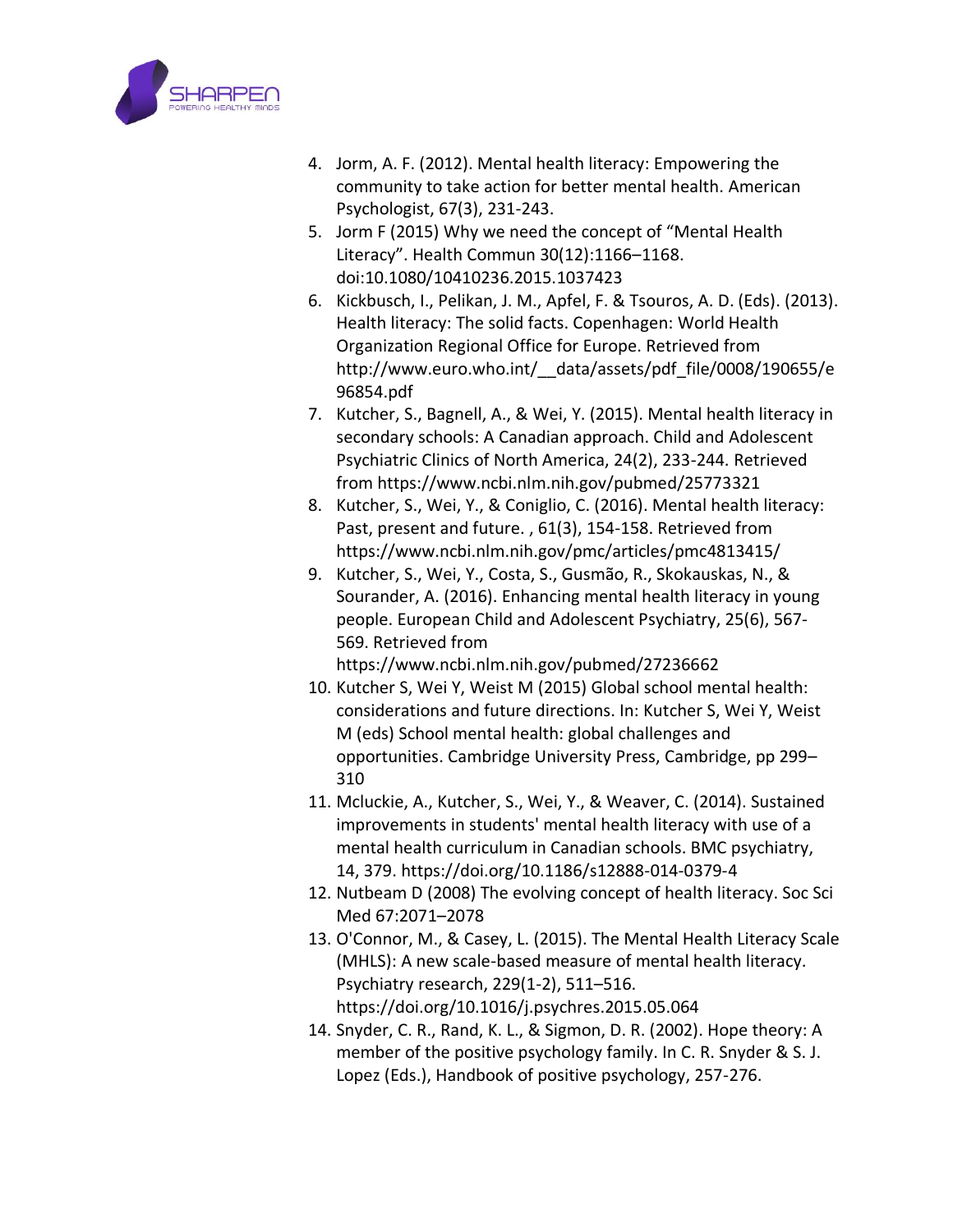

- 4. Jorm, A. F. (2012). Mental health literacy: Empowering the community to take action for better mental health. American Psychologist, 67(3), 231-243.
- 5. Jorm F (2015) Why we need the concept of "Mental Health Literacy". Health Commun 30(12):1166–1168. doi:10.1080/10410236.2015.1037423
- 6. Kickbusch, I., Pelikan, J. M., Apfel, F. & Tsouros, A. D. (Eds). (2013). Health literacy: The solid facts. Copenhagen: World Health Organization Regional Office for Europe. Retrieved from http://www.euro.who.int/\_\_data/assets/pdf\_file/0008/190655/e 96854.pdf
- 7. Kutcher, S., Bagnell, A., & Wei, Y. (2015). Mental health literacy in secondary schools: A Canadian approach. Child and Adolescent Psychiatric Clinics of North America, 24(2), 233-244. Retrieved from https://www.ncbi.nlm.nih.gov/pubmed/25773321
- 8. Kutcher, S., Wei, Y., & Coniglio, C. (2016). Mental health literacy: Past, present and future. , 61(3), 154-158. Retrieved from https://www.ncbi.nlm.nih.gov/pmc/articles/pmc4813415/
- 9. Kutcher, S., Wei, Y., Costa, S., Gusmão, R., Skokauskas, N., & Sourander, A. (2016). Enhancing mental health literacy in young people. European Child and Adolescent Psychiatry, 25(6), 567- 569. Retrieved from
	- https://www.ncbi.nlm.nih.gov/pubmed/27236662
- 10. Kutcher S, Wei Y, Weist M (2015) Global school mental health: considerations and future directions. In: Kutcher S, Wei Y, Weist M (eds) School mental health: global challenges and opportunities. Cambridge University Press, Cambridge, pp 299– 310
- 11. Mcluckie, A., Kutcher, S., Wei, Y., & Weaver, C. (2014). Sustained improvements in students' mental health literacy with use of a mental health curriculum in Canadian schools. BMC psychiatry, 14, 379. https://doi.org/10.1186/s12888-014-0379-4
- 12. Nutbeam D (2008) The evolving concept of health literacy. Soc Sci Med 67:2071–2078
- 13. O'Connor, M., & Casey, L. (2015). The Mental Health Literacy Scale (MHLS): A new scale-based measure of mental health literacy. Psychiatry research, 229(1-2), 511–516. https://doi.org/10.1016/j.psychres.2015.05.064
- 14. Snyder, C. R., Rand, K. L., & Sigmon, D. R. (2002). Hope theory: A member of the positive psychology family. In C. R. Snyder & S. J. Lopez (Eds.), Handbook of positive psychology, 257-276.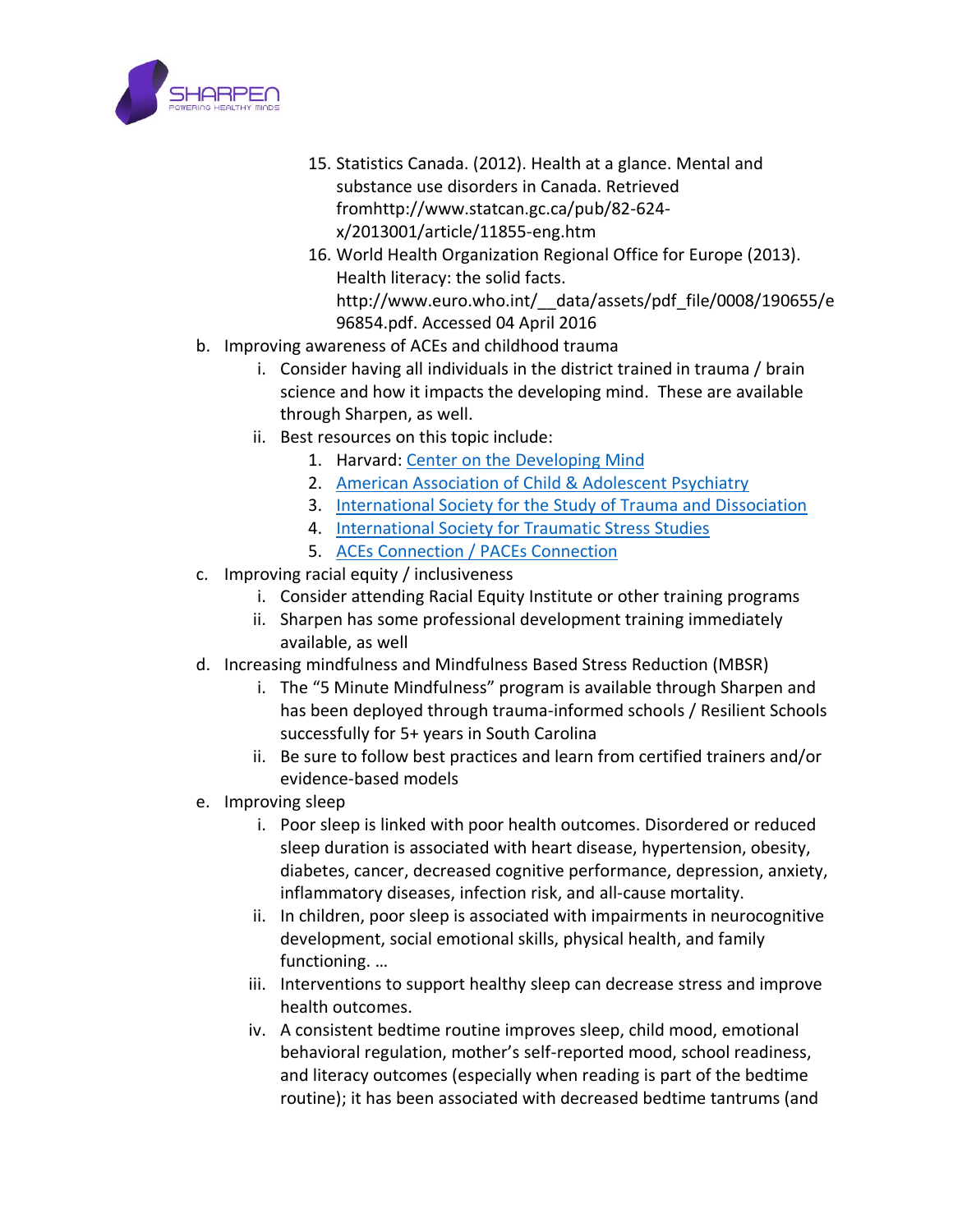

- 15. Statistics Canada. (2012). Health at a glance. Mental and substance use disorders in Canada. Retrieved fromhttp://www.statcan.gc.ca/pub/82-624 x/2013001/article/11855-eng.htm
- 16. World Health Organization Regional Office for Europe (2013). Health literacy: the solid facts. http://www.euro.who.int/\_\_data/assets/pdf\_file/0008/190655/e 96854.pdf. Accessed 04 April 2016
- b. Improving awareness of ACEs and childhood trauma
	- i. Consider having all individuals in the district trained in trauma / brain science and how it impacts the developing mind. These are available through Sharpen, as well.
	- ii. Best resources on this topic include:
		- 1. Harvard: [Center on the Developing Mind](https://developingchild.harvard.edu/science/deep-dives/mental-health/)
		- 2. [American Association of Child & Adolescent Psychiatry](https://www.aacap.org/coronavirus#aacap)
		- 3. [International Society for the Study of Trauma and Dissociation](https://www.isst-d.org/)
		- 4. [International Society for Traumatic Stress Studies](https://istss.org/home)
		- 5. [ACEs Connection / PACEs Connection](https://www.acesconnection.com/)
- c. Improving racial equity / inclusiveness
	- i. Consider attending Racial Equity Institute or other training programs
	- ii. Sharpen has some professional development training immediately available, as well
- d. Increasing mindfulness and Mindfulness Based Stress Reduction (MBSR)
	- i. The "5 Minute Mindfulness" program is available through Sharpen and has been deployed through trauma-informed schools / Resilient Schools successfully for 5+ years in South Carolina
	- ii. Be sure to follow best practices and learn from certified trainers and/or evidence-based models
- e. Improving sleep
	- i. Poor sleep is linked with poor health outcomes. Disordered or reduced sleep duration is associated with heart disease, hypertension, obesity, diabetes, cancer, decreased cognitive performance, depression, anxiety, inflammatory diseases, infection risk, and all-cause mortality.
	- ii. In children, poor sleep is associated with impairments in neurocognitive development, social emotional skills, physical health, and family functioning. …
	- iii. Interventions to support healthy sleep can decrease stress and improve health outcomes.
	- iv. A consistent bedtime routine improves sleep, child mood, emotional behavioral regulation, mother's self-reported mood, school readiness, and literacy outcomes (especially when reading is part of the bedtime routine); it has been associated with decreased bedtime tantrums (and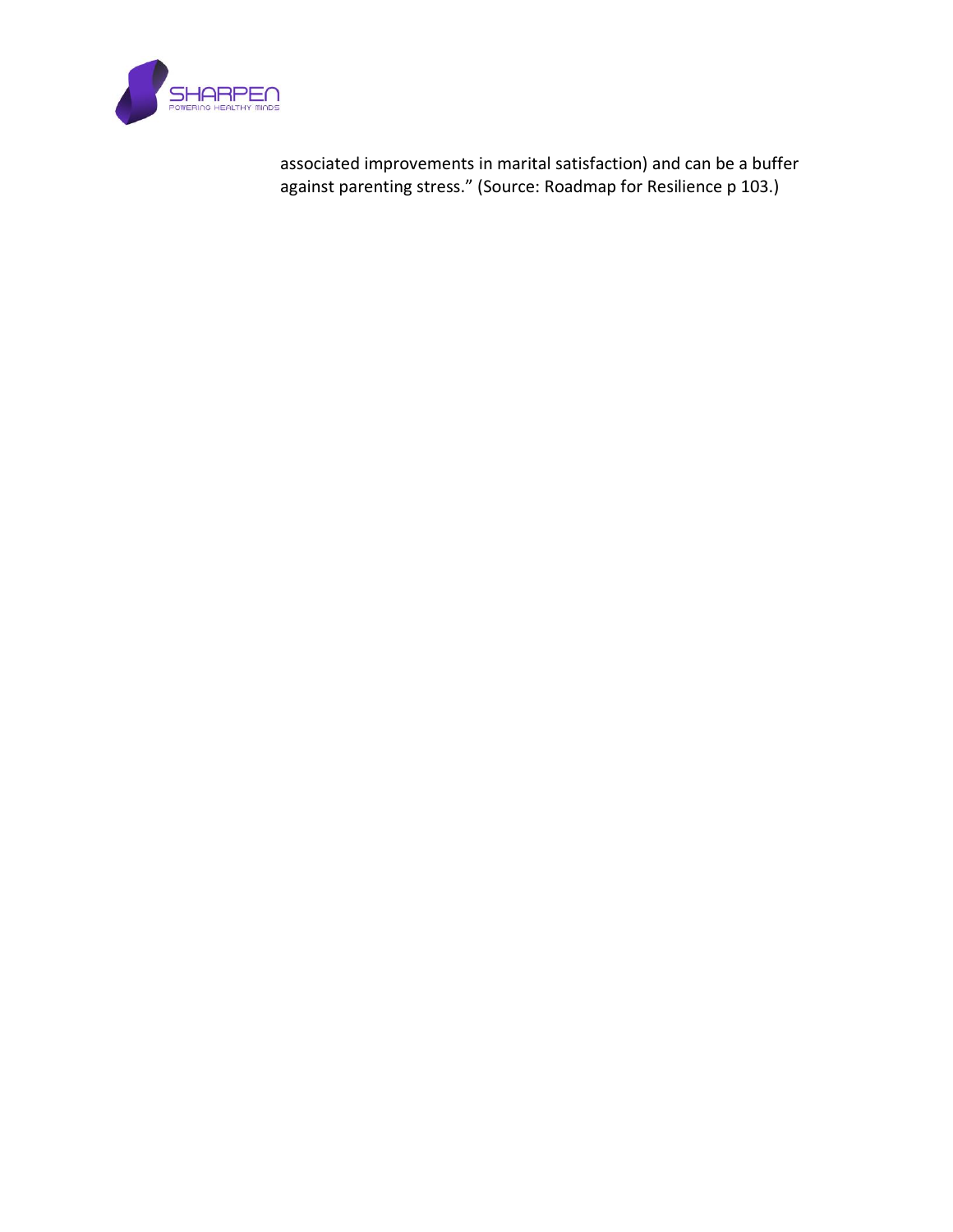

associated improvements in marital satisfaction) and can be a buffer against parenting stress." (Source: Roadmap for Resilience p 103.)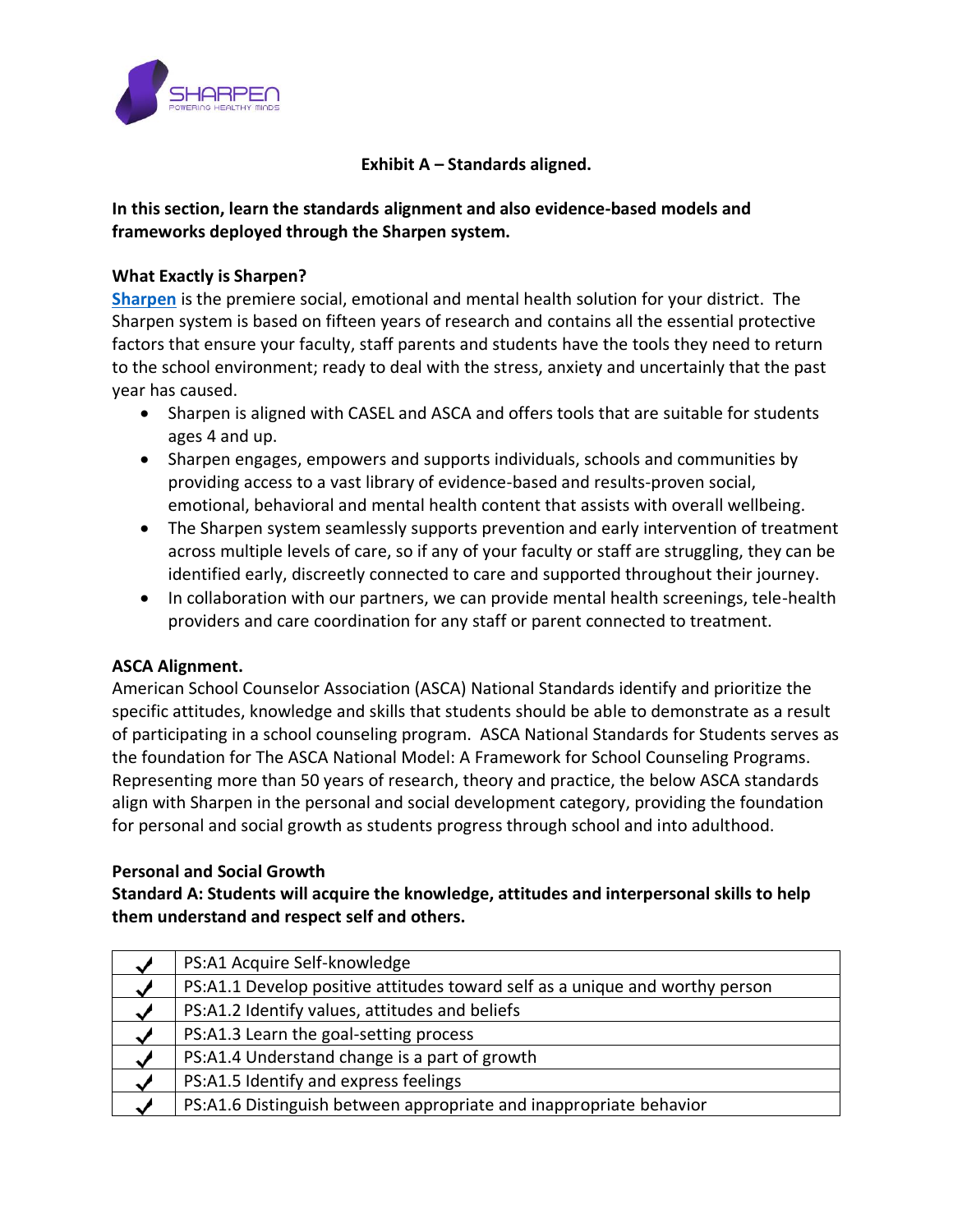

## **Exhibit A – Standards aligned.**

# **In this section, learn the standards alignment and also evidence-based models and frameworks deployed through the Sharpen system.**

#### **What Exactly is Sharpen?**

**[Sharpen](https://www.sharpenminds.com/our-solution)** is the premiere social, emotional and mental health solution for your district. The Sharpen system is based on fifteen years of research and contains all the essential protective factors that ensure your faculty, staff parents and students have the tools they need to return to the school environment; ready to deal with the stress, anxiety and uncertainly that the past year has caused.

- Sharpen is aligned with CASEL and ASCA and offers tools that are suitable for students ages 4 and up.
- Sharpen engages, empowers and supports individuals, schools and communities by providing access to a vast library of evidence-based and results-proven social, emotional, behavioral and mental health content that assists with overall wellbeing.
- The Sharpen system seamlessly supports prevention and early intervention of treatment across multiple levels of care, so if any of your faculty or staff are struggling, they can be identified early, discreetly connected to care and supported throughout their journey.
- In collaboration with our partners, we can provide mental health screenings, tele-health providers and care coordination for any staff or parent connected to treatment.

#### **ASCA Alignment.**

American School Counselor Association (ASCA) National Standards identify and prioritize the specific attitudes, knowledge and skills that students should be able to demonstrate as a result of participating in a school counseling program. ASCA National Standards for Students serves as the foundation for The ASCA National Model: A Framework for School Counseling Programs. Representing more than 50 years of research, theory and practice, the below ASCA standards align with Sharpen in the personal and social development category, providing the foundation for personal and social growth as students progress through school and into adulthood.

#### **Personal and Social Growth**

**Standard A: Students will acquire the knowledge, attitudes and interpersonal skills to help them understand and respect self and others.**

| $\overline{\phantom{a}}$ | PS:A1 Acquire Self-knowledge                                                 |
|--------------------------|------------------------------------------------------------------------------|
| $\checkmark$             | PS:A1.1 Develop positive attitudes toward self as a unique and worthy person |
| $\bullet$                | PS:A1.2 Identify values, attitudes and beliefs                               |
|                          | PS:A1.3 Learn the goal-setting process                                       |
| $\checkmark$             | PS:A1.4 Understand change is a part of growth                                |
| ◡                        | PS:A1.5 Identify and express feelings                                        |
|                          | PS:A1.6 Distinguish between appropriate and inappropriate behavior           |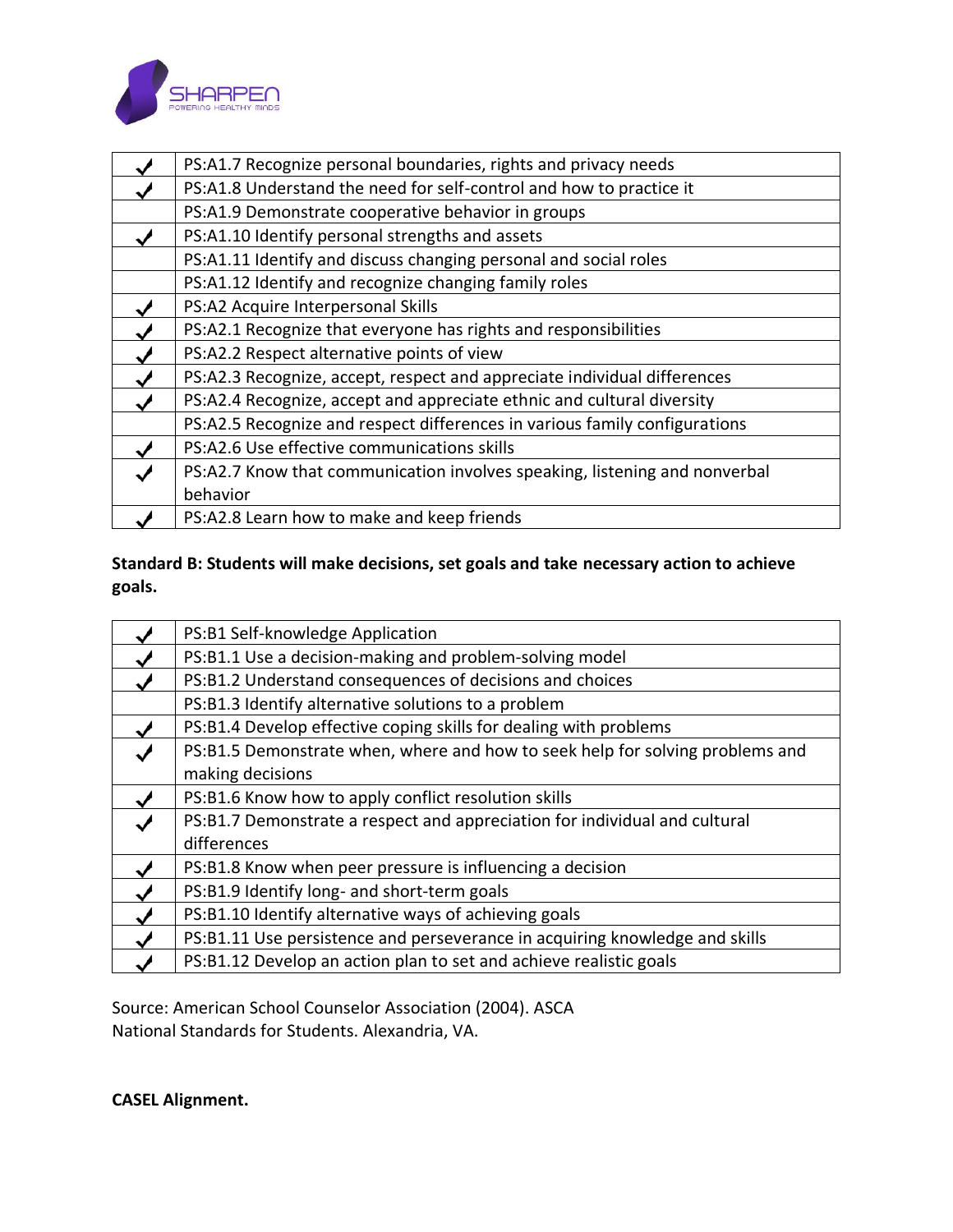

| PS:A1.7 Recognize personal boundaries, rights and privacy needs            |  |  |  |
|----------------------------------------------------------------------------|--|--|--|
| PS:A1.8 Understand the need for self-control and how to practice it        |  |  |  |
| PS:A1.9 Demonstrate cooperative behavior in groups                         |  |  |  |
| PS:A1.10 Identify personal strengths and assets                            |  |  |  |
| PS:A1.11 Identify and discuss changing personal and social roles           |  |  |  |
| PS:A1.12 Identify and recognize changing family roles                      |  |  |  |
| PS:A2 Acquire Interpersonal Skills                                         |  |  |  |
| PS:A2.1 Recognize that everyone has rights and responsibilities            |  |  |  |
| PS:A2.2 Respect alternative points of view                                 |  |  |  |
| PS:A2.3 Recognize, accept, respect and appreciate individual differences   |  |  |  |
| PS:A2.4 Recognize, accept and appreciate ethnic and cultural diversity     |  |  |  |
| PS:A2.5 Recognize and respect differences in various family configurations |  |  |  |
| PS:A2.6 Use effective communications skills                                |  |  |  |
| PS:A2.7 Know that communication involves speaking, listening and nonverbal |  |  |  |
| behavior                                                                   |  |  |  |
| PS:A2.8 Learn how to make and keep friends                                 |  |  |  |

# **Standard B: Students will make decisions, set goals and take necessary action to achieve goals.**

| PS:B1 Self-knowledge Application                                              |  |  |
|-------------------------------------------------------------------------------|--|--|
| PS:B1.1 Use a decision-making and problem-solving model                       |  |  |
| PS:B1.2 Understand consequences of decisions and choices                      |  |  |
| PS:B1.3 Identify alternative solutions to a problem                           |  |  |
| PS:B1.4 Develop effective coping skills for dealing with problems             |  |  |
| PS:B1.5 Demonstrate when, where and how to seek help for solving problems and |  |  |
| making decisions                                                              |  |  |
| PS:B1.6 Know how to apply conflict resolution skills                          |  |  |
| PS:B1.7 Demonstrate a respect and appreciation for individual and cultural    |  |  |
| differences                                                                   |  |  |
| PS:B1.8 Know when peer pressure is influencing a decision                     |  |  |
| PS:B1.9 Identify long- and short-term goals                                   |  |  |
| PS:B1.10 Identify alternative ways of achieving goals                         |  |  |
| PS:B1.11 Use persistence and perseverance in acquiring knowledge and skills   |  |  |
| PS:B1.12 Develop an action plan to set and achieve realistic goals            |  |  |

Source: American School Counselor Association (2004). ASCA National Standards for Students. Alexandria, VA.

**CASEL Alignment.**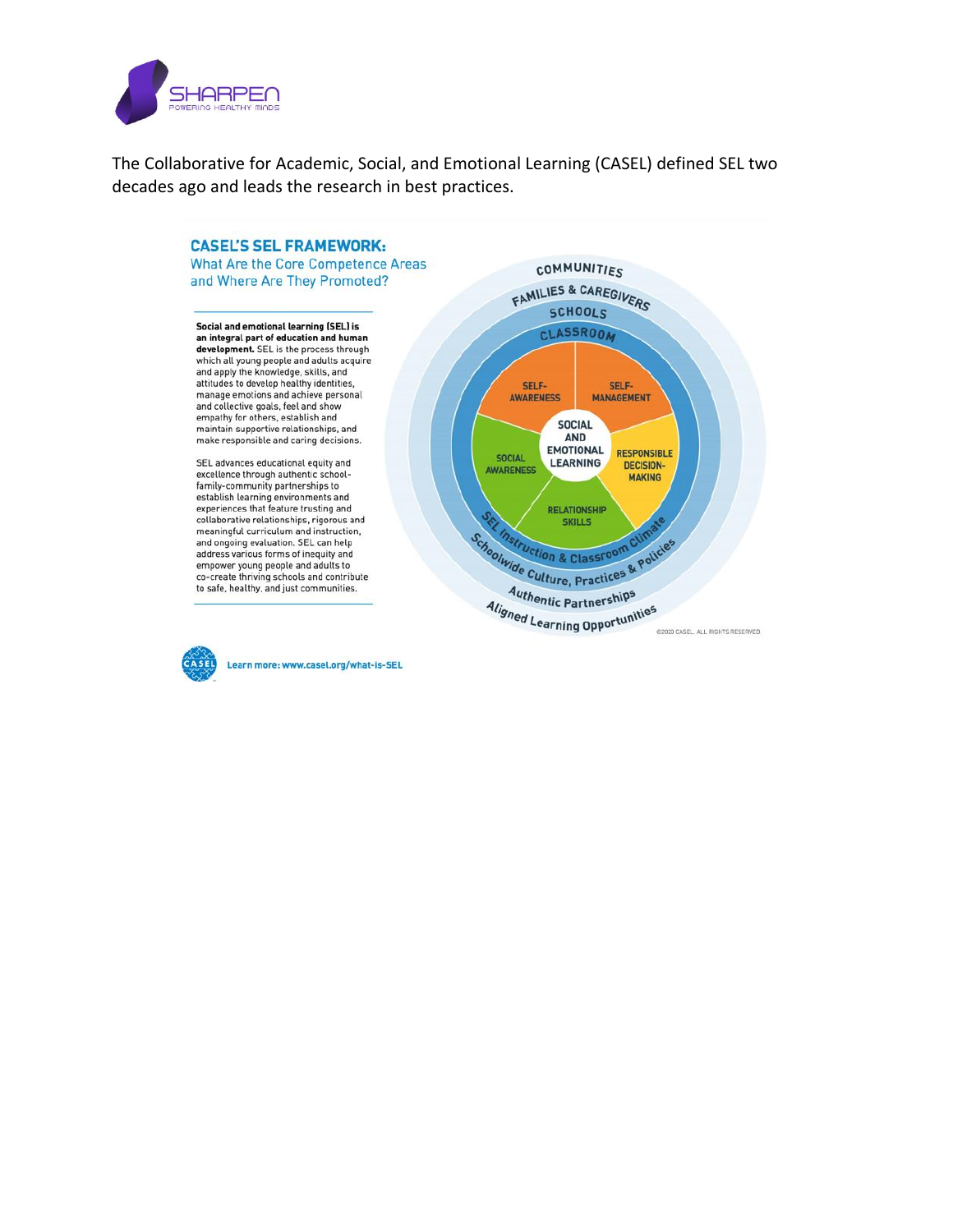

The Collaborative for Academic, Social, and Emotional Learning (CASEL) defined SEL two decades ago and leads the research in best practices.





Learn more: www.casel.org/what-is-SEL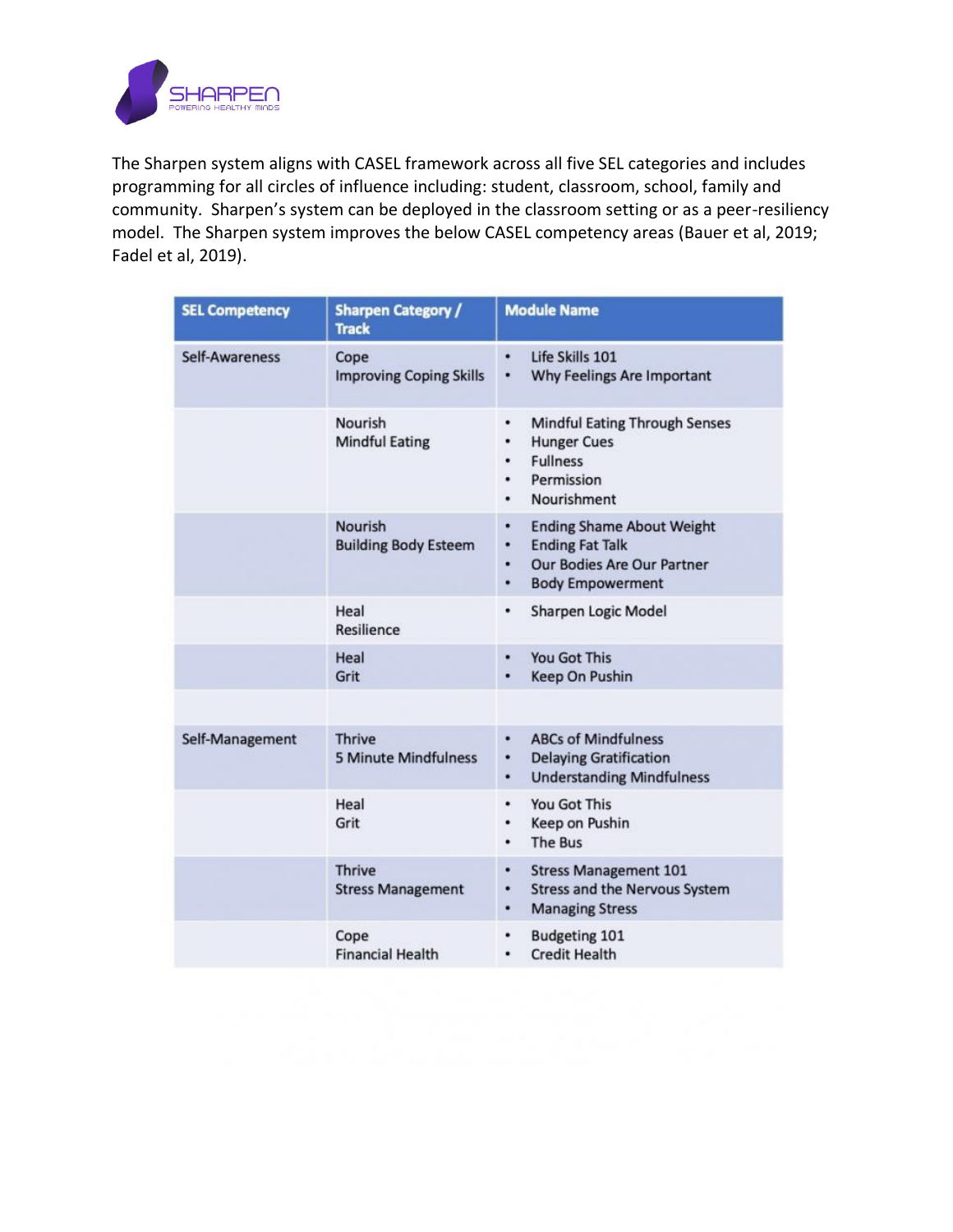

The Sharpen system aligns with CASEL framework across all five SEL categories and includes programming for all circles of influence including: student, classroom, school, family and community. Sharpen's system can be deployed in the classroom setting or as a peer-resiliency model. The Sharpen system improves the below CASEL competency areas (Bauer et al, 2019; Fadel et al, 2019).

| <b>SEL Competency</b> | <b>Sharpen Category /</b><br><b>Track</b>     | <b>Module Name</b>                                                                                                                      |
|-----------------------|-----------------------------------------------|-----------------------------------------------------------------------------------------------------------------------------------------|
| Self-Awareness        | Cope<br><b>Improving Coping Skills</b>        | Life Skills 101<br>Why Feelings Are Important<br>۰                                                                                      |
|                       | Nourish<br><b>Mindful Eating</b>              | <b>Mindful Eating Through Senses</b><br>٠<br><b>Hunger Cues</b><br>٠<br><b>Fullness</b><br>٠<br>Permission<br>٠<br>Nourishment<br>٠     |
|                       | <b>Nourish</b><br><b>Building Body Esteem</b> | <b>Ending Shame About Weight</b><br>٠<br><b>Ending Fat Talk</b><br>٠<br>Our Bodies Are Our Partner<br>٠<br><b>Body Empowerment</b><br>٠ |
|                       | Heal<br>Resilience                            | Sharpen Logic Model<br>٠                                                                                                                |
|                       | Heal<br>Grit                                  | You Got This<br>٠<br><b>Keep On Pushin</b><br>٠                                                                                         |
|                       |                                               |                                                                                                                                         |
| Self-Management       | <b>Thrive</b><br><b>5 Minute Mindfulness</b>  | <b>ABCs of Mindfulness</b><br>٠<br><b>Delaying Gratification</b><br>٠<br><b>Understanding Mindfulness</b><br>٠                          |
|                       | Heal<br>Grit                                  | You Got This<br>٠<br>Keep on Pushin<br>٠<br>The Bus                                                                                     |
|                       | <b>Thrive</b><br><b>Stress Management</b>     | <b>Stress Management 101</b><br>٠<br><b>Stress and the Nervous System</b><br>٠<br><b>Managing Stress</b><br>٠                           |
|                       | Cope<br><b>Financial Health</b>               | <b>Budgeting 101</b><br><b>Credit Health</b><br>٠                                                                                       |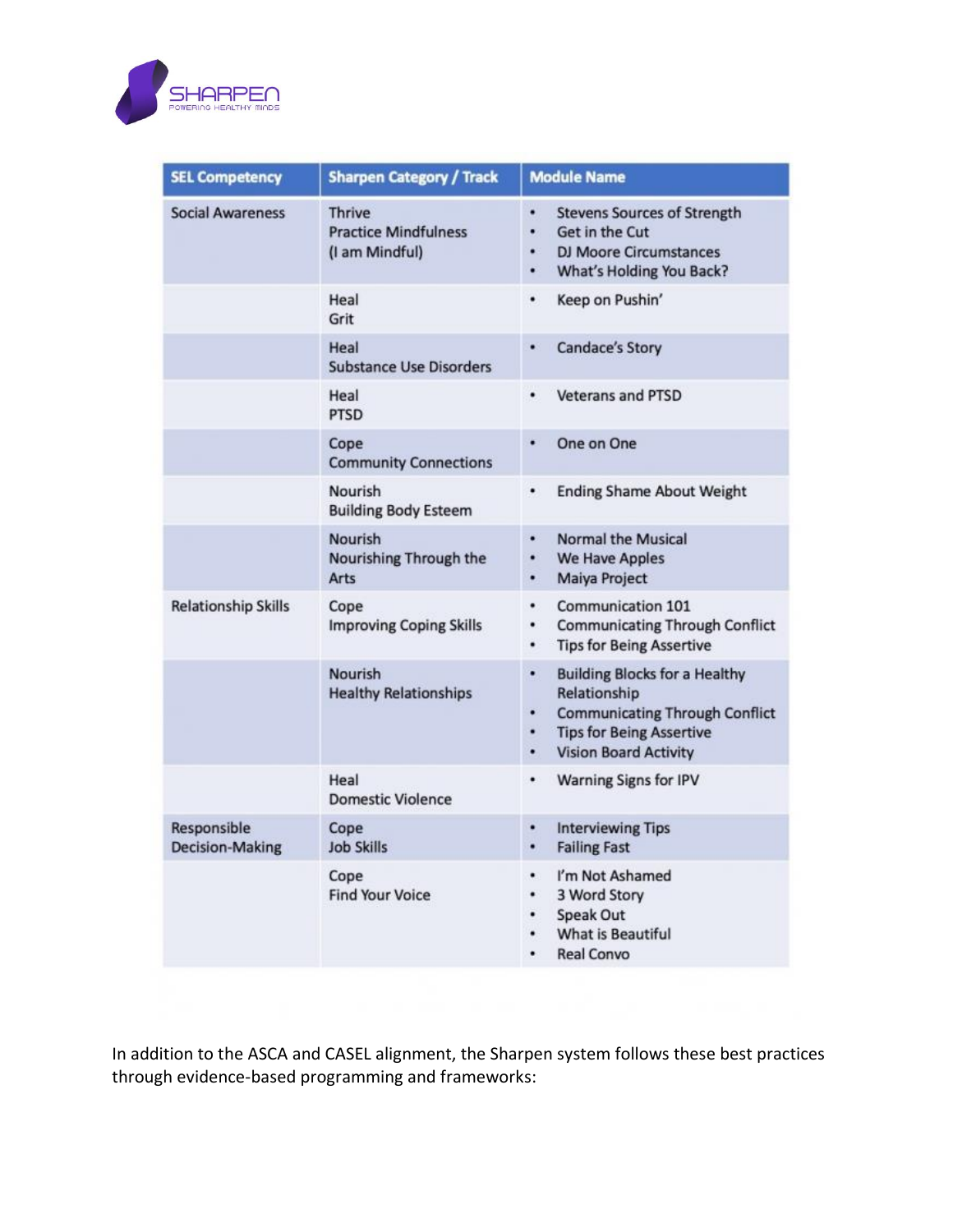

| <b>SEL Competency</b>                 | <b>Sharpen Category / Track</b>                                | <b>Module Name</b>                                                                                                                                                                   |
|---------------------------------------|----------------------------------------------------------------|--------------------------------------------------------------------------------------------------------------------------------------------------------------------------------------|
| <b>Social Awareness</b>               | <b>Thrive</b><br><b>Practice Mindfulness</b><br>(I am Mindful) | ٠<br><b>Stevens Sources of Strength</b><br>Get in the Cut<br>۰<br><b>DJ Moore Circumstances</b><br>٠<br>What's Holding You Back?<br>۰                                                |
|                                       | Heal<br>Grit                                                   | ٠<br>Keep on Pushin'                                                                                                                                                                 |
|                                       | Heal<br><b>Substance Use Disorders</b>                         | <b>Candace's Story</b><br>٠                                                                                                                                                          |
|                                       | Heal<br><b>PTSD</b>                                            | ٠<br><b>Veterans and PTSD</b>                                                                                                                                                        |
|                                       | Cope<br><b>Community Connections</b>                           | One on One<br>٠                                                                                                                                                                      |
|                                       | Nourish<br><b>Building Body Esteem</b>                         | <b>Ending Shame About Weight</b><br>٠                                                                                                                                                |
|                                       | Nourish<br>Nourishing Through the<br>Arts                      | <b>Normal the Musical</b><br>٠<br>۰<br><b>We Have Apples</b><br>Maiya Project<br>٠                                                                                                   |
| <b>Relationship Skills</b>            | Cope<br><b>Improving Coping Skills</b>                         | Communication 101<br>٠<br><b>Communicating Through Conflict</b><br>٠<br><b>Tips for Being Assertive</b><br>٠                                                                         |
|                                       | Nourish<br><b>Healthy Relationships</b>                        | ٠<br><b>Building Blocks for a Healthy</b><br>Relationship<br><b>Communicating Through Conflict</b><br>٠<br><b>Tips for Being Assertive</b><br>۰<br><b>Vision Board Activity</b><br>٠ |
|                                       | Heal<br><b>Domestic Violence</b>                               | Warning Signs for IPV<br>٠                                                                                                                                                           |
| Responsible<br><b>Decision-Making</b> | Cope<br><b>Job Skills</b>                                      | <b>Interviewing Tips</b><br>٠<br><b>Failing Fast</b><br>٠                                                                                                                            |
|                                       | Cope<br><b>Find Your Voice</b>                                 | I'm Not Ashamed<br>۰<br>۰<br>3 Word Story<br>Speak Out<br>٠<br><b>What is Beautiful</b><br>٠<br><b>Real Convo</b><br>٠                                                               |

In addition to the ASCA and CASEL alignment, the Sharpen system follows these best practices through evidence-based programming and frameworks: